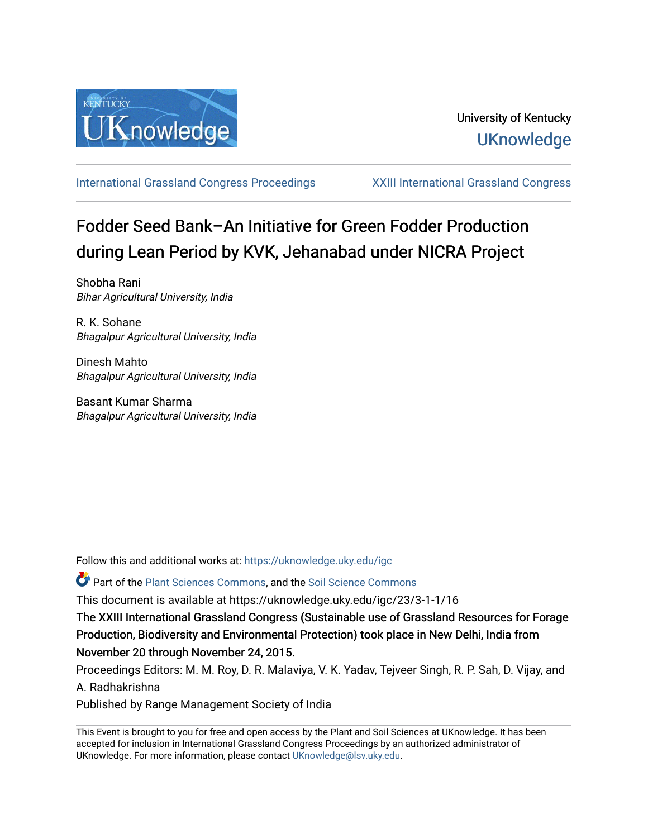

[International Grassland Congress Proceedings](https://uknowledge.uky.edu/igc) [XXIII International Grassland Congress](https://uknowledge.uky.edu/igc/23) 

# Fodder Seed Bank–An Initiative for Green Fodder Production during Lean Period by KVK, Jehanabad under NICRA Project

Shobha Rani Bihar Agricultural University, India

R. K. Sohane Bhagalpur Agricultural University, India

Dinesh Mahto Bhagalpur Agricultural University, India

Basant Kumar Sharma Bhagalpur Agricultural University, India

Follow this and additional works at: [https://uknowledge.uky.edu/igc](https://uknowledge.uky.edu/igc?utm_source=uknowledge.uky.edu%2Figc%2F23%2F3-1-1%2F16&utm_medium=PDF&utm_campaign=PDFCoverPages) 

**P** Part of the [Plant Sciences Commons](http://network.bepress.com/hgg/discipline/102?utm_source=uknowledge.uky.edu%2Figc%2F23%2F3-1-1%2F16&utm_medium=PDF&utm_campaign=PDFCoverPages), and the Soil Science Commons

This document is available at https://uknowledge.uky.edu/igc/23/3-1-1/16

The XXIII International Grassland Congress (Sustainable use of Grassland Resources for Forage Production, Biodiversity and Environmental Protection) took place in New Delhi, India from November 20 through November 24, 2015.

Proceedings Editors: M. M. Roy, D. R. Malaviya, V. K. Yadav, Tejveer Singh, R. P. Sah, D. Vijay, and A. Radhakrishna

Published by Range Management Society of India

This Event is brought to you for free and open access by the Plant and Soil Sciences at UKnowledge. It has been accepted for inclusion in International Grassland Congress Proceedings by an authorized administrator of UKnowledge. For more information, please contact [UKnowledge@lsv.uky.edu](mailto:UKnowledge@lsv.uky.edu).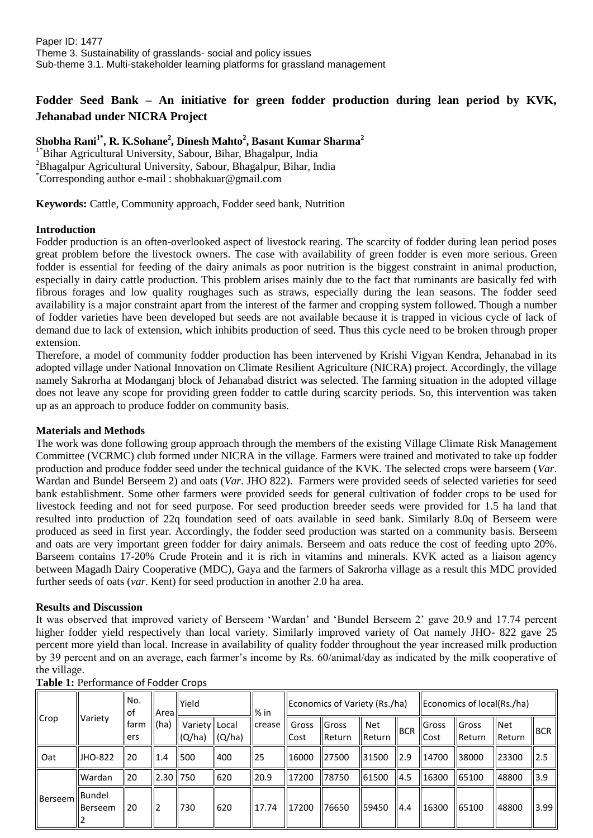# **Fodder Seed Bank – An initiative for green fodder production during lean period by KVK, Jehanabad under NICRA Project**

## **Shobha Rani1\* , R. K.Sohane<sup>2</sup> , Dinesh Mahto<sup>2</sup> , Basant Kumar Sharma<sup>2</sup>**

1\*Bihar Agricultural University, Sabour, Bihar, Bhagalpur, India <sup>2</sup>Bhagalpur Agricultural University, Sabour, Bhagalpur, Bihar, India \*Corresponding author e-mail : shobhakuar@gmail.com

**Keywords:** Cattle, Community approach, Fodder seed bank, Nutrition

#### **Introduction**

Fodder production is an often-overlooked aspect of livestock rearing. The scarcity of fodder during lean period poses great problem before the livestock owners. The case with availability of green fodder is even more serious. Green fodder is essential for feeding of the dairy animals as poor nutrition is the biggest constraint in animal production, especially in dairy cattle production. This problem arises mainly due to the fact that ruminants are basically fed with fibrous forages and low quality roughages such as straws, especially during the lean seasons. The fodder seed availability is a major constraint apart from the interest of the farmer and cropping system followed. Though a number of fodder varieties have been developed but seeds are not available because it is trapped in vicious cycle of lack of demand due to lack of extension, which inhibits production of seed. Thus this cycle need to be broken through proper extension.

Therefore, a model of community fodder production has been intervened by Krishi Vigyan Kendra, Jehanabad in its adopted village under National Innovation on Climate Resilient Agriculture (NICRA) project. Accordingly, the village namely Sakrorha at Modanganj block of Jehanabad district was selected. The farming situation in the adopted village does not leave any scope for providing green fodder to cattle during scarcity periods. So, this intervention was taken up as an approach to produce fodder on community basis.

### **Materials and Methods**

The work was done following group approach through the members of the existing Village Climate Risk Management Committee (VCRMC) club formed under NICRA in the village. Farmers were trained and motivated to take up fodder production and produce fodder seed under the technical guidance of the KVK. The selected crops were barseem (*Var*. Wardan and Bundel Berseem 2) and oats (*Var*. JHO 822). Farmers were provided seeds of selected varieties for seed bank establishment. Some other farmers were provided seeds for general cultivation of fodder crops to be used for livestock feeding and not for seed purpose. For seed production breeder seeds were provided for 1.5 ha land that resulted into production of 22q foundation seed of oats available in seed bank. Similarly 8.0q of Berseem were produced as seed in first year. Accordingly, the fodder seed production was started on a community basis. Berseem and oats are very important green fodder for dairy animals. Berseem and oats reduce the cost of feeding upto 20%. Barseem contains 17-20% Crude Protein and it is rich in vitamins and minerals. KVK acted as a liaison agency between Magadh Dairy Cooperative (MDC), Gaya and the farmers of Sakrorha village as a result this MDC provided further seeds of oats (*var*. Kent) for seed production in another 2.0 ha area.

#### **Results and Discussion**

It was observed that improved variety of Berseem 'Wardan' and 'Bundel Berseem 2' gave 20.9 and 17.74 percent higher fodder yield respectively than local variety. Similarly improved variety of Oat namely JHO- 822 gave 25 percent more yield than local. Increase in availability of quality fodder throughout the year increased milk production by 39 percent and on an average, each farmer's income by Rs. 60/animal/day as indicated by the milk cooperative of the village.

| Crop    | Variety                    | No.<br>ll of<br>lfarm<br>ers | <b>I</b> Area II<br>$\mathsf{I}(\mathsf{ha})$ | <b>Yield</b>                                            |                    | $%$ in | Economics of Variety (Rs./ha) |                        |                 |            | $\parallel$ Economics of local(Rs./ha) |                        |                          |                 |
|---------|----------------------------|------------------------------|-----------------------------------------------|---------------------------------------------------------|--------------------|--------|-------------------------------|------------------------|-----------------|------------|----------------------------------------|------------------------|--------------------------|-----------------|
|         |                            |                              |                                               | Variety   Local<br>$\mathsf{I}(\mathsf{Q}/\mathsf{ha})$ | $\parallel$ (Q/ha) | crease | Gross<br>Cost                 | <b>Gross</b><br>Return | Net<br>llReturn | <b>BCR</b> | <b>I</b> Gross<br>ll Cost              | <b>Gross</b><br>Return | $\blacksquare$<br>Return | <b>BCR</b>      |
| Oat     | <b>IJHO-822</b>            | ll 20                        | II.4                                          | 1500                                                    | 400                | 25     | 16000                         | 127500                 | 31500           | 12.9       | 14700                                  | 138000                 | 123300                   | ll 2.5          |
| Berseem | <b>Wardan</b>              | <b>20</b>                    | $\parallel$ 2.30   750                        |                                                         | 620                | 20.9   | 17200                         | 78750                  | 161500          | 14.5       | 16300                                  | 165100                 | 48800                    | $\parallel$ 3.9 |
|         | <b>I</b> Bundel<br>Berseem | ll 20                        |                                               | 1730                                                    | 620                | 17.74  | 17200                         | 76650                  | 59450           | 4.4        | 16300                                  | 165100                 | 48800                    | 3.99            |

**Table 1:** Performance of Fodder Crops